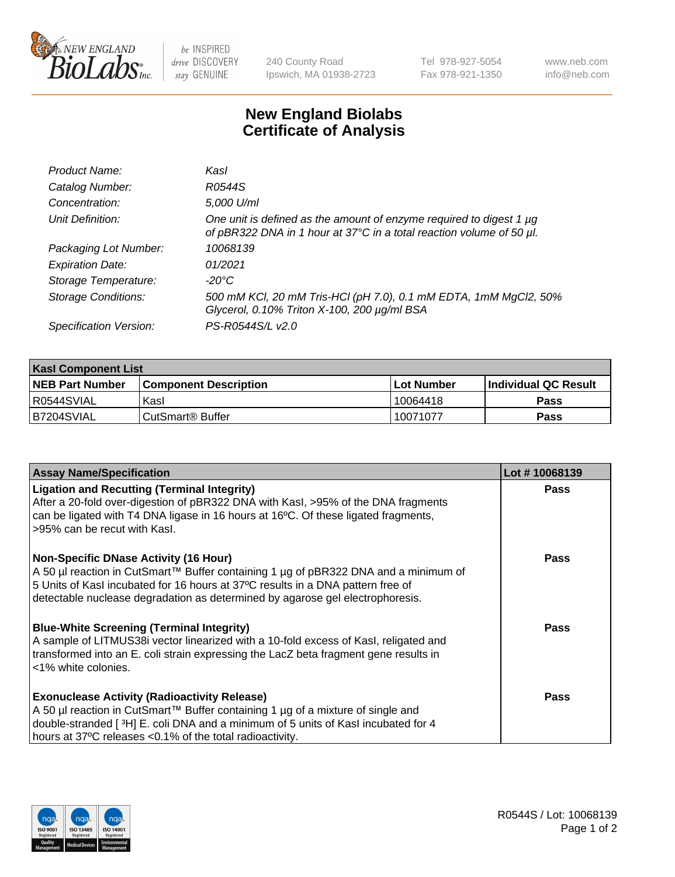

 $be$  INSPIRED drive DISCOVERY stay GENUINE

240 County Road Ipswich, MA 01938-2723 Tel 978-927-5054 Fax 978-921-1350 www.neb.com info@neb.com

## **New England Biolabs Certificate of Analysis**

| Product Name:              | Kasl                                                                                                                                        |
|----------------------------|---------------------------------------------------------------------------------------------------------------------------------------------|
| Catalog Number:            | R0544S                                                                                                                                      |
| Concentration:             | 5,000 U/ml                                                                                                                                  |
| Unit Definition:           | One unit is defined as the amount of enzyme required to digest 1 µg<br>of pBR322 DNA in 1 hour at 37°C in a total reaction volume of 50 µl. |
| Packaging Lot Number:      | 10068139                                                                                                                                    |
| <b>Expiration Date:</b>    | 01/2021                                                                                                                                     |
| Storage Temperature:       | -20°C                                                                                                                                       |
| <b>Storage Conditions:</b> | 500 mM KCl, 20 mM Tris-HCl (pH 7.0), 0.1 mM EDTA, 1mM MgCl2, 50%<br>Glycerol, 0.10% Triton X-100, 200 µg/ml BSA                             |
| Specification Version:     | PS-R0544S/L v2.0                                                                                                                            |

| <b>Kasl Component List</b> |                              |                   |                       |  |  |
|----------------------------|------------------------------|-------------------|-----------------------|--|--|
| <b>NEB Part Number</b>     | <b>Component Description</b> | <b>Lot Number</b> | ∣Individual QC Result |  |  |
| R0544SVIAL                 | Kasl                         | 10064418          | Pass                  |  |  |
| B7204SVIAL                 | CutSmart <sup>®</sup> Buffer | 10071077          | Pass                  |  |  |

| <b>Assay Name/Specification</b>                                                                                                                                                                                                                                                                         | Lot #10068139 |
|---------------------------------------------------------------------------------------------------------------------------------------------------------------------------------------------------------------------------------------------------------------------------------------------------------|---------------|
| <b>Ligation and Recutting (Terminal Integrity)</b><br>After a 20-fold over-digestion of pBR322 DNA with KasI, >95% of the DNA fragments<br>can be ligated with T4 DNA ligase in 16 hours at 16°C. Of these ligated fragments,<br>>95% can be recut with Kasl.                                           | Pass          |
| <b>Non-Specific DNase Activity (16 Hour)</b><br>A 50 µl reaction in CutSmart™ Buffer containing 1 µg of pBR322 DNA and a minimum of<br>5 Units of Kasl incubated for 16 hours at 37°C results in a DNA pattern free of<br>detectable nuclease degradation as determined by agarose gel electrophoresis. | <b>Pass</b>   |
| <b>Blue-White Screening (Terminal Integrity)</b><br>A sample of LITMUS38i vector linearized with a 10-fold excess of Kasl, religated and<br>transformed into an E. coli strain expressing the LacZ beta fragment gene results in<br><1% white colonies.                                                 | Pass          |
| <b>Exonuclease Activity (Radioactivity Release)</b><br>A 50 µl reaction in CutSmart™ Buffer containing 1 µg of a mixture of single and<br>double-stranded [3H] E. coli DNA and a minimum of 5 units of Kasl incubated for 4<br>hours at 37°C releases <0.1% of the total radioactivity.                 | Pass          |